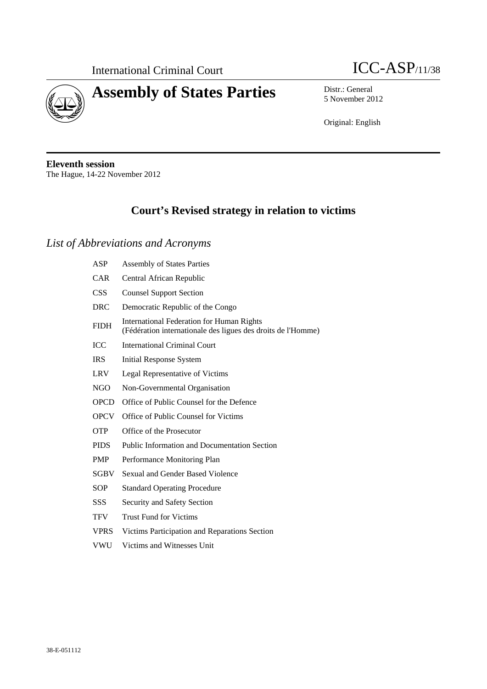



5 November 2012

Original: English

**Eleventh session**  The Hague, 14-22 November 2012

# **Court's Revised strategy in relation to victims**

## *List of Abbreviations and Acronyms*

| ASP         | <b>Assembly of States Parties</b>                                                                                |  |
|-------------|------------------------------------------------------------------------------------------------------------------|--|
| CAR         | Central African Republic                                                                                         |  |
| <b>CSS</b>  | <b>Counsel Support Section</b>                                                                                   |  |
| <b>DRC</b>  | Democratic Republic of the Congo                                                                                 |  |
| <b>FIDH</b> | <b>International Federation for Human Rights</b><br>(Fédération internationale des ligues des droits de l'Homme) |  |
| <b>ICC</b>  | <b>International Criminal Court</b>                                                                              |  |
| <b>IRS</b>  | Initial Response System                                                                                          |  |
| <b>LRV</b>  | Legal Representative of Victims                                                                                  |  |
| NGO         | Non-Governmental Organisation                                                                                    |  |
| <b>OPCD</b> | Office of Public Counsel for the Defence                                                                         |  |
| <b>OPCV</b> | Office of Public Counsel for Victims                                                                             |  |
| <b>OTP</b>  | Office of the Prosecutor                                                                                         |  |
| <b>PIDS</b> | <b>Public Information and Documentation Section</b>                                                              |  |
| <b>PMP</b>  | Performance Monitoring Plan                                                                                      |  |
| <b>SGBV</b> | Sexual and Gender Based Violence                                                                                 |  |
| SOP         | <b>Standard Operating Procedure</b>                                                                              |  |
| SSS         | Security and Safety Section                                                                                      |  |
| TFV         | <b>Trust Fund for Victims</b>                                                                                    |  |
| <b>VPRS</b> | Victims Participation and Reparations Section                                                                    |  |
| <b>VWU</b>  | Victims and Witnesses Unit                                                                                       |  |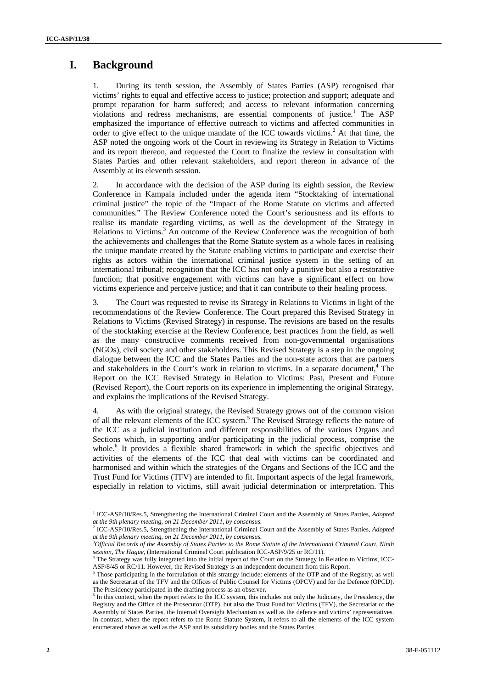## **I. Background**

1. During its tenth session, the Assembly of States Parties (ASP) recognised that victims' rights to equal and effective access to justice; protection and support; adequate and prompt reparation for harm suffered; and access to relevant information concerning violations and redress mechanisms, are essential components of justice.<sup>1</sup> The ASP emphasized the importance of effective outreach to victims and affected communities in order to give effect to the unique mandate of the ICC towards victims.<sup>2</sup> At that time, the ASP noted the ongoing work of the Court in reviewing its Strategy in Relation to Victims and its report thereon, and requested the Court to finalize the review in consultation with States Parties and other relevant stakeholders, and report thereon in advance of the Assembly at its eleventh session.

2. In accordance with the decision of the ASP during its eighth session, the Review Conference in Kampala included under the agenda item "Stocktaking of international criminal justice" the topic of the "Impact of the Rome Statute on victims and affected communities." The Review Conference noted the Court's seriousness and its efforts to realise its mandate regarding victims, as well as the development of the Strategy in Relations to Victims.<sup>3</sup> An outcome of the Review Conference was the recognition of both the achievements and challenges that the Rome Statute system as a whole faces in realising the unique mandate created by the Statute enabling victims to participate and exercise their rights as actors within the international criminal justice system in the setting of an international tribunal; recognition that the ICC has not only a punitive but also a restorative function; that positive engagement with victims can have a significant effect on how victims experience and perceive justice; and that it can contribute to their healing process.

3. The Court was requested to revise its Strategy in Relations to Victims in light of the recommendations of the Review Conference. The Court prepared this Revised Strategy in Relations to Victims (Revised Strategy) in response. The revisions are based on the results of the stocktaking exercise at the Review Conference, best practices from the field, as well as the many constructive comments received from non-governmental organisations (NGOs), civil society and other stakeholders. This Revised Strategy is a step in the ongoing dialogue between the ICC and the States Parties and the non-state actors that are partners and stakeholders in the Court's work in relation to victims. In a separate document,<sup>4</sup> The Report on the ICC Revised Strategy in Relation to Victims: Past, Present and Future (Revised Report), the Court reports on its experience in implementing the original Strategy, and explains the implications of the Revised Strategy.

4. As with the original strategy, the Revised Strategy grows out of the common vision of all the relevant elements of the ICC system.<sup>5</sup> The Revised Strategy reflects the nature of the ICC as a judicial institution and different responsibilities of the various Organs and Sections which, in supporting and/or participating in the judicial process, comprise the whole.<sup>6</sup> It provides a flexible shared framework in which the specific objectives and activities of the elements of the ICC that deal with victims can be coordinated and harmonised and within which the strategies of the Organs and Sections of the ICC and the Trust Fund for Victims (TFV) are intended to fit. Important aspects of the legal framework, especially in relation to victims, still await judicial determination or interpretation. This

<sup>&</sup>lt;sup>1</sup> ICC-ASP/10/Res.5, Strengthening the International Criminal Court and the Assembly of States Parties, *Adopted at the 9th plenary meeting, on 21 December 2011, by consensus.*

<sup>2</sup> ICC-ASP/10/Res.5, Strengthening the International Criminal Court and the Assembly of States Parties, *Adopted at the 9th plenary meeting, on 21 December 2011, by consensus.*

<sup>3</sup> *Official Records of the Assembly of States Parties to the Rome Statute of the International Criminal Court, Ninth session, The Hague, (International Criminal Court publication ICC-ASP/9/25 or RC/11).* 

<sup>&</sup>lt;sup>4</sup> The Strategy was fully integrated into the initial report of the Court on the Strategy in Relation to Victims, ICC-ASP/8/45 or RC/11. However, the Revised Strategy is an independent document from this Report.

Those participating in the formulation of this strategy include: elements of the OTP and of the Registry, as well as the Secretariat of the TFV and the Offices of Public Counsel for Victims (OPCV) and for the Defence (OPCD). The Presidency participated in the drafting process as an observer.

 $\delta$  In this context, when the report refers to the ICC system, this includes not only the Judiciary, the Presidency, the Registry and the Office of the Prosecutor (OTP), but also the Trust Fund for Victims (TFV), the Secretariat of the Assembly of States Parties, the Internal Oversight Mechanism as well as the defence and victims' representatives. In contrast, when the report refers to the Rome Statute System, it refers to all the elements of the ICC system enumerated above as well as the ASP and its subsidiary bodies and the States Parties.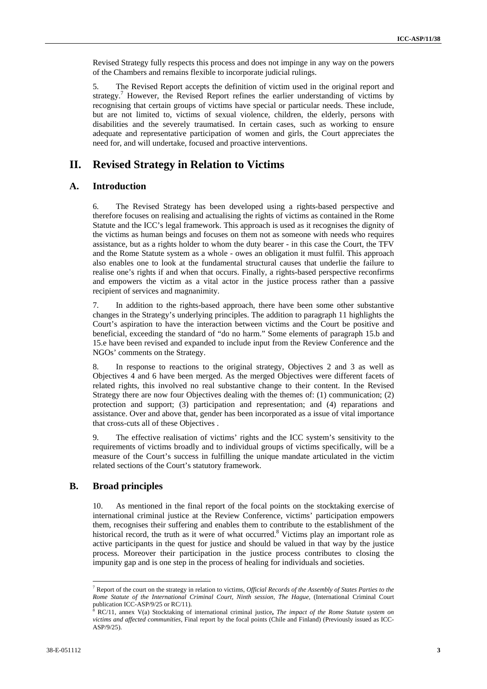Revised Strategy fully respects this process and does not impinge in any way on the powers of the Chambers and remains flexible to incorporate judicial rulings.

5. The Revised Report accepts the definition of victim used in the original report and strategy.<sup>7</sup> However, the Revised Report refines the earlier understanding of victims by recognising that certain groups of victims have special or particular needs. These include, but are not limited to, victims of sexual violence, children, the elderly, persons with disabilities and the severely traumatised. In certain cases, such as working to ensure adequate and representative participation of women and girls, the Court appreciates the need for, and will undertake, focused and proactive interventions.

## **II. Revised Strategy in Relation to Victims**

#### **A. Introduction**

6. The Revised Strategy has been developed using a rights-based perspective and therefore focuses on realising and actualising the rights of victims as contained in the Rome Statute and the ICC's legal framework. This approach is used as it recognises the dignity of the victims as human beings and focuses on them not as someone with needs who requires assistance, but as a rights holder to whom the duty bearer - in this case the Court, the TFV and the Rome Statute system as a whole - owes an obligation it must fulfil. This approach also enables one to look at the fundamental structural causes that underlie the failure to realise one's rights if and when that occurs. Finally, a rights-based perspective reconfirms and empowers the victim as a vital actor in the justice process rather than a passive recipient of services and magnanimity.

7. In addition to the rights-based approach, there have been some other substantive changes in the Strategy's underlying principles. The addition to paragraph 11 highlights the Court's aspiration to have the interaction between victims and the Court be positive and beneficial, exceeding the standard of "do no harm." Some elements of paragraph 15.b and 15.e have been revised and expanded to include input from the Review Conference and the NGOs' comments on the Strategy.

8. In response to reactions to the original strategy, Objectives 2 and 3 as well as Objectives 4 and 6 have been merged. As the merged Objectives were different facets of related rights, this involved no real substantive change to their content. In the Revised Strategy there are now four Objectives dealing with the themes of: (1) communication; (2) protection and support; (3) participation and representation; and (4) reparations and assistance. Over and above that, gender has been incorporated as a issue of vital importance that cross-cuts all of these Objectives .

9. The effective realisation of victims' rights and the ICC system's sensitivity to the requirements of victims broadly and to individual groups of victims specifically, will be a measure of the Court's success in fulfilling the unique mandate articulated in the victim related sections of the Court's statutory framework.

## **B. Broad principles**

 $\overline{a}$ 

10. As mentioned in the final report of the focal points on the stocktaking exercise of international criminal justice at the Review Conference, victims' participation empowers them, recognises their suffering and enables them to contribute to the establishment of the historical record, the truth as it were of what occurred.<sup>8</sup> Victims play an important role as active participants in the quest for justice and should be valued in that way by the justice process. Moreover their participation in the justice process contributes to closing the impunity gap and is one step in the process of healing for individuals and societies.

<sup>7</sup> Report of the court on the strategy in relation to victims, *Official Records of the Assembly of States Parties to the Rome Statute of the International Criminal Court, Ninth session, The Hague,* (International Criminal Court publication ICC-ASP/9/25 or RC/11).

RC/11, annex V(a) Stocktaking of international criminal justice**,** *The impact of the Rome Statute system on victims and affected communities,* Final report by the focal points (Chile and Finland) (Previously issued as ICC-ASP/9/25).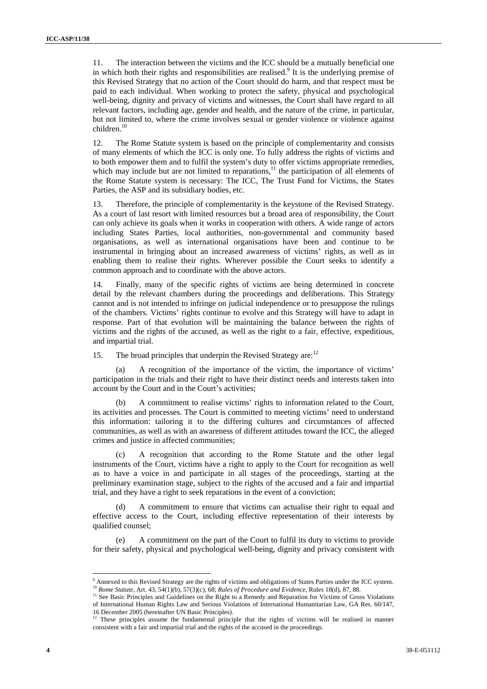11. The interaction between the victims and the ICC should be a mutually beneficial one in which both their rights and responsibilities are realised.<sup>9</sup> It is the underlying premise of this Revised Strategy that no action of the Court should do harm, and that respect must be paid to each individual. When working to protect the safety, physical and psychological well-being, dignity and privacy of victims and witnesses, the Court shall have regard to all relevant factors, including age, gender and health, and the nature of the crime, in particular, but not limited to, where the crime involves sexual or gender violence or violence against children.<sup>10</sup>

12. The Rome Statute system is based on the principle of complementarity and consists of many elements of which the ICC is only one. To fully address the rights of victims and to both empower them and to fulfil the system's duty to offer victims appropriate remedies, which may include but are not limited to reparations, $11$  the participation of all elements of the Rome Statute system is necessary: The ICC, The Trust Fund for Victims, the States Parties, the ASP and its subsidiary bodies, etc.

13. Therefore, the principle of complementarity is the keystone of the Revised Strategy. As a court of last resort with limited resources but a broad area of responsibility, the Court can only achieve its goals when it works in cooperation with others. A wide range of actors including States Parties, local authorities, non-governmental and community based organisations, as well as international organisations have been and continue to be instrumental in bringing about an increased awareness of victims' rights, as well as in enabling them to realise their rights. Wherever possible the Court seeks to identify a common approach and to coordinate with the above actors.

14. Finally, many of the specific rights of victims are being determined in concrete detail by the relevant chambers during the proceedings and deliberations. This Strategy cannot and is not intended to infringe on judicial independence or to presuppose the rulings of the chambers. Victims' rights continue to evolve and this Strategy will have to adapt in response. Part of that evolution will be maintaining the balance between the rights of victims and the rights of the accused, as well as the right to a fair, effective, expeditious, and impartial trial.

15. The broad principles that underpin the Revised Strategy are:<sup>12</sup>

A recognition of the importance of the victim, the importance of victims' participation in the trials and their right to have their distinct needs and interests taken into account by the Court and in the Court's activities;

A commitment to realise victims' rights to information related to the Court, its activities and processes. The Court is committed to meeting victims' need to understand this information: tailoring it to the differing cultures and circumstances of affected communities, as well as with an awareness of different attitudes toward the ICC, the alleged crimes and justice in affected communities;

(c) A recognition that according to the Rome Statute and the other legal instruments of the Court, victims have a right to apply to the Court for recognition as well as to have a voice in and participate in all stages of the proceedings, starting at the preliminary examination stage, subject to the rights of the accused and a fair and impartial trial, and they have a right to seek reparations in the event of a conviction;

(d) A commitment to ensure that victims can actualise their right to equal and effective access to the Court, including effective representation of their interests by qualified counsel;

(e) A commitment on the part of the Court to fulfil its duty to victims to provide for their safety, physical and psychological well-being, dignity and privacy consistent with

<sup>&</sup>lt;sup>9</sup> Annexed to this Revised Strategy are the rights of victims and obligations of States Parties under the ICC system. <sup>10</sup> Rome Statute, Art. 43, 54(1)(b), 57(3)(c), 68; Rules of Procedure and Evidence, Rules 18(d), 87, 88.<br><sup>11</sup> See Basic Principles and Guidelines on the Right to a Remedy and Reparation for Victims of Gross Violations

of International Human Rights Law and Serious Violations of International Humanitarian Law, GA Res. 60/147, 16 December 2005 (hereinafter UN Basic Principles).

 $12$  These principles assume the fundamental principle that the rights of victims will be realised in manner consistent with a fair and impartial trial and the rights of the accused in the proceedings.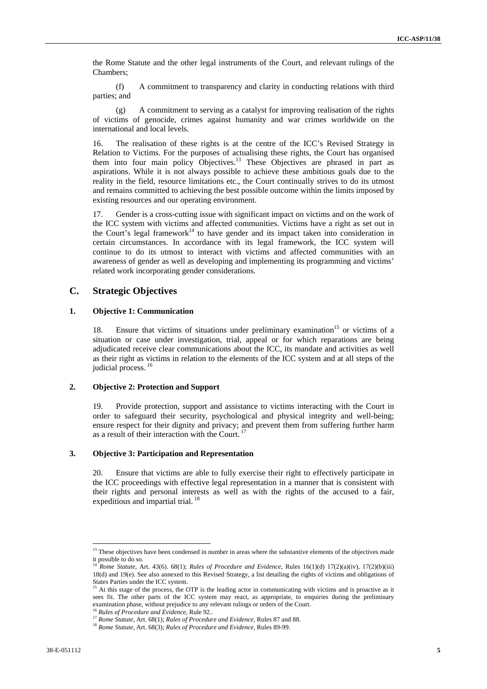the Rome Statute and the other legal instruments of the Court, and relevant rulings of the Chambers;

(f) A commitment to transparency and clarity in conducting relations with third parties; and

(g) A commitment to serving as a catalyst for improving realisation of the rights of victims of genocide, crimes against humanity and war crimes worldwide on the international and local levels.

16. The realisation of these rights is at the centre of the ICC's Revised Strategy in Relation to Victims. For the purposes of actualising these rights, the Court has organised them into four main policy Objectives.<sup>13</sup> These Objectives are phrased in part as aspirations. While it is not always possible to achieve these ambitious goals due to the reality in the field, resource limitations etc., the Court continually strives to do its utmost and remains committed to achieving the best possible outcome within the limits imposed by existing resources and our operating environment.

17. Gender is a cross-cutting issue with significant impact on victims and on the work of the ICC system with victims and affected communities. Victims have a right as set out in the Court's legal framework<sup>14</sup> to have gender and its impact taken into consideration in certain circumstances. In accordance with its legal framework, the ICC system will continue to do its utmost to interact with victims and affected communities with an awareness of gender as well as developing and implementing its programming and victims' related work incorporating gender considerations.

#### **C. Strategic Objectives**

#### **1. Objective 1: Communication**

18. Ensure that victims of situations under preliminary examination<sup>15</sup> or victims of a situation or case under investigation, trial, appeal or for which reparations are being adjudicated receive clear communications about the ICC, its mandate and activities as well as their right as victims in relation to the elements of the ICC system and at all steps of the judicial process.

#### **2. Objective 2: Protection and Support**

19. Provide protection, support and assistance to victims interacting with the Court in order to safeguard their security, psychological and physical integrity and well-being; ensure respect for their dignity and privacy; and prevent them from suffering further harm as a result of their interaction with the Court.<sup>17</sup>

#### **3. Objective 3: Participation and Representation**

20. Ensure that victims are able to fully exercise their right to effectively participate in the ICC proceedings with effective legal representation in a manner that is consistent with their rights and personal interests as well as with the rights of the accused to a fair, expeditious and impartial trial.<sup>18</sup>

 $13$  These objectives have been condensed in number in areas where the substantive elements of the objectives made it possible to do so.

<sup>14</sup> *Rome Statute*, Art. 43(6). 68(1); *Rules of Procedure and Evidence,* Rules 16(1)(d) 17(2)(a)(iv), 17(2)(b)(iii) 18(d) and 19(e). See also annexed to this Revised Strategy, a list detailing the rights of victims and obligations of States Parties under the ICC system.

<sup>&</sup>lt;sup>15</sup> At this stage of the process, the OTP is the leading actor in communicating with victims and is proactive as it sees fit. The other parts of the ICC system may react, as appropriate, to enquiries during the preliminary examination phase, without prejudice to any relevant rulings or orders of the Court.<br><sup>16</sup> Rules of Procedure and Evidence, Rule 92..<br><sup>17</sup> Rome Statute, Art. 68(1); Rules of Procedure and Evidence, Rules 87 and 88.

<sup>18</sup> *Rome Statute*, Art. 68(3); *Rules of Procedure and Evidence*, Rules 89-99.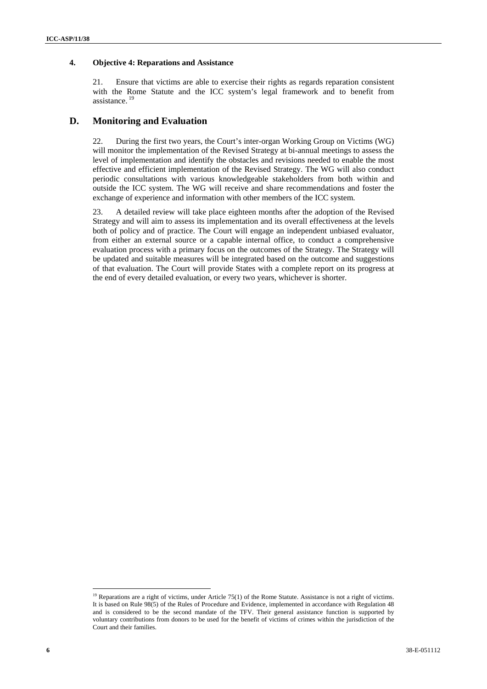#### **4. Objective 4: Reparations and Assistance**

21. Ensure that victims are able to exercise their rights as regards reparation consistent with the Rome Statute and the ICC system's legal framework and to benefit from assistance.<sup>19</sup>

## **D. Monitoring and Evaluation**

22. During the first two years, the Court's inter-organ Working Group on Victims (WG) will monitor the implementation of the Revised Strategy at bi-annual meetings to assess the level of implementation and identify the obstacles and revisions needed to enable the most effective and efficient implementation of the Revised Strategy. The WG will also conduct periodic consultations with various knowledgeable stakeholders from both within and outside the ICC system. The WG will receive and share recommendations and foster the exchange of experience and information with other members of the ICC system.

23. A detailed review will take place eighteen months after the adoption of the Revised Strategy and will aim to assess its implementation and its overall effectiveness at the levels both of policy and of practice. The Court will engage an independent unbiased evaluator, from either an external source or a capable internal office, to conduct a comprehensive evaluation process with a primary focus on the outcomes of the Strategy. The Strategy will be updated and suitable measures will be integrated based on the outcome and suggestions of that evaluation. The Court will provide States with a complete report on its progress at the end of every detailed evaluation, or every two years, whichever is shorter.

<sup>&</sup>lt;sup>19</sup> Reparations are a right of victims, under Article 75(1) of the Rome Statute. Assistance is not a right of victims. It is based on Rule 98(5) of the Rules of Procedure and Evidence, implemented in accordance with Regulation 48 and is considered to be the second mandate of the TFV. Their general assistance function is supported by voluntary contributions from donors to be used for the benefit of victims of crimes within the jurisdiction of the Court and their families.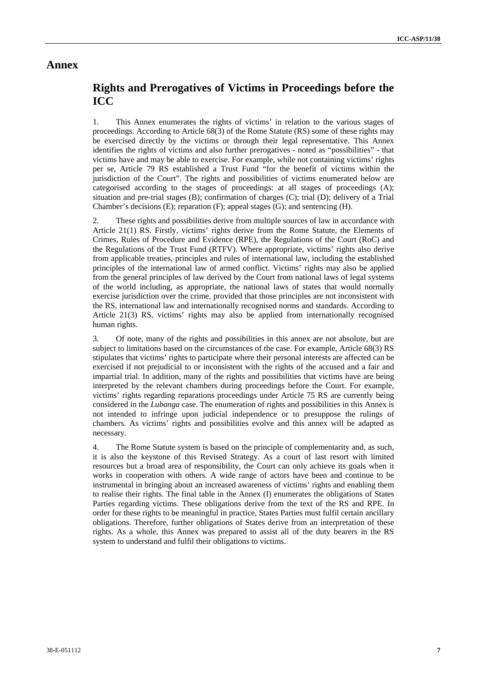## **Annex**

## **Rights and Prerogatives of Victims in Proceedings before the ICC**

1. This Annex enumerates the rights of victims' in relation to the various stages of proceedings. According to Article 68(3) of the Rome Statute (RS) some of these rights may be exercised directly by the victims or through their legal representative. This Annex identifies the rights of victims and also further prerogatives - noted as "possibilities" - that victims have and may be able to exercise. For example, while not containing victims' rights per se, Article 79 RS established a Trust Fund "for the benefit of victims within the jurisdiction of the Court". The rights and possibilities of victims enumerated below are categorised according to the stages of proceedings: at all stages of proceedings (A); situation and pre-trial stages (B); confirmation of charges (C); trial (D); delivery of a Trial Chamber's decisions (E); reparation (F); appeal stages (G); and sentencing (H).

2. These rights and possibilities derive from multiple sources of law in accordance with Article 21(1) RS. Firstly, victims' rights derive from the Rome Statute, the Elements of Crimes, Rules of Procedure and Evidence (RPE), the Regulations of the Court (RoC) and the Regulations of the Trust Fund (RTFV). Where appropriate, victims' rights also derive from applicable treaties, principles and rules of international law, including the established principles of the international law of armed conflict. Victims' rights may also be applied from the general principles of law derived by the Court from national laws of legal systems of the world including, as appropriate, the national laws of states that would normally exercise jurisdiction over the crime, provided that those principles are not inconsistent with the RS, international law and internationally recognised norms and standards. According to Article 21(3) RS, victims' rights may also be applied from internationally recognised human rights.

3. Of note, many of the rights and possibilities in this annex are not absolute, but are subject to limitations based on the circumstances of the case. For example, Article 68(3) RS stipulates that victims' rights to participate where their personal interests are affected can be exercised if not prejudicial to or inconsistent with the rights of the accused and a fair and impartial trial. In addition, many of the rights and possibilities that victims have are being interpreted by the relevant chambers during proceedings before the Court. For example, victims' rights regarding reparations proceedings under Article 75 RS are currently being considered in the *Lubanga* case. The enumeration of rights and possibilities in this Annex is not intended to infringe upon judicial independence or to presuppose the rulings of chambers. As victims' rights and possibilities evolve and this annex will be adapted as necessary.

4. The Rome Statute system is based on the principle of complementarity and, as such, it is also the keystone of this Revised Strategy. As a court of last resort with limited resources but a broad area of responsibility, the Court can only achieve its goals when it works in cooperation with others. A wide range of actors have been and continue to be instrumental in bringing about an increased awareness of victims' rights and enabling them to realise their rights. The final table in the Annex (I) enumerates the obligations of States Parties regarding victims. These obligations derive from the text of the RS and RPE. In order for these rights to be meaningful in practice, States Parties must fulfil certain ancillary obligations. Therefore, further obligations of States derive from an interpretation of these rights. As a whole, this Annex was prepared to assist all of the duty bearers in the RS system to understand and fulfil their obligations to victims.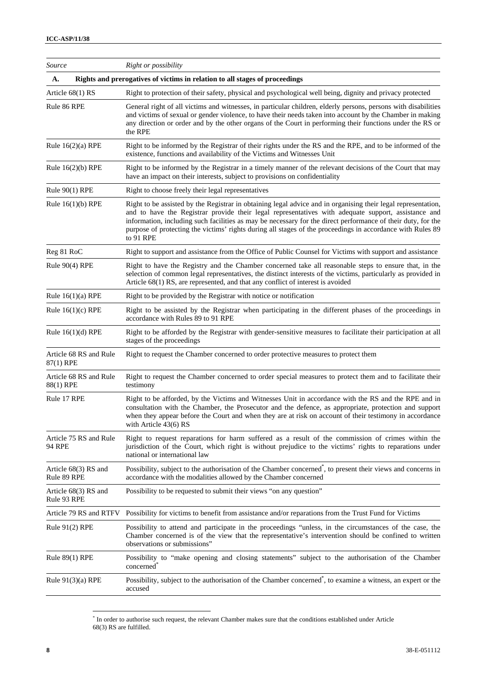| Source                                | Right or possibility                                                                                                                                                                                                                                                                                                                                                                                                                                            |  |
|---------------------------------------|-----------------------------------------------------------------------------------------------------------------------------------------------------------------------------------------------------------------------------------------------------------------------------------------------------------------------------------------------------------------------------------------------------------------------------------------------------------------|--|
| A.                                    | Rights and prerogatives of victims in relation to all stages of proceedings                                                                                                                                                                                                                                                                                                                                                                                     |  |
| Article $68(1)$ RS                    | Right to protection of their safety, physical and psychological well being, dignity and privacy protected                                                                                                                                                                                                                                                                                                                                                       |  |
| Rule 86 RPE                           | General right of all victims and witnesses, in particular children, elderly persons, persons with disabilities<br>and victims of sexual or gender violence, to have their needs taken into account by the Chamber in making<br>any direction or order and by the other organs of the Court in performing their functions under the RS or<br>the RPE                                                                                                             |  |
| Rule $16(2)(a)$ RPE                   | Right to be informed by the Registrar of their rights under the RS and the RPE, and to be informed of the<br>existence, functions and availability of the Victims and Witnesses Unit                                                                                                                                                                                                                                                                            |  |
| Rule $16(2)(b)$ RPE                   | Right to be informed by the Registrar in a timely manner of the relevant decisions of the Court that may<br>have an impact on their interests, subject to provisions on confidentiality                                                                                                                                                                                                                                                                         |  |
| Rule 90(1) RPE                        | Right to choose freely their legal representatives                                                                                                                                                                                                                                                                                                                                                                                                              |  |
| Rule $16(1)(b)$ RPE                   | Right to be assisted by the Registrar in obtaining legal advice and in organising their legal representation,<br>and to have the Registrar provide their legal representatives with adequate support, assistance and<br>information, including such facilities as may be necessary for the direct performance of their duty, for the<br>purpose of protecting the victims' rights during all stages of the proceedings in accordance with Rules 89<br>to 91 RPE |  |
| Reg 81 RoC                            | Right to support and assistance from the Office of Public Counsel for Victims with support and assistance                                                                                                                                                                                                                                                                                                                                                       |  |
| Rule $90(4)$ RPE                      | Right to have the Registry and the Chamber concerned take all reasonable steps to ensure that, in the<br>selection of common legal representatives, the distinct interests of the victims, particularly as provided in<br>Article 68(1) RS, are represented, and that any conflict of interest is avoided                                                                                                                                                       |  |
| Rule $16(1)(a)$ RPE                   | Right to be provided by the Registrar with notice or notification                                                                                                                                                                                                                                                                                                                                                                                               |  |
| Rule $16(1)(c)$ RPE                   | Right to be assisted by the Registrar when participating in the different phases of the proceedings in<br>accordance with Rules 89 to 91 RPE                                                                                                                                                                                                                                                                                                                    |  |
| Rule $16(1)(d)$ RPE                   | Right to be afforded by the Registrar with gender-sensitive measures to facilitate their participation at all<br>stages of the proceedings                                                                                                                                                                                                                                                                                                                      |  |
| Article 68 RS and Rule<br>87(1) RPE   | Right to request the Chamber concerned to order protective measures to protect them                                                                                                                                                                                                                                                                                                                                                                             |  |
| Article 68 RS and Rule<br>88(1) RPE   | Right to request the Chamber concerned to order special measures to protect them and to facilitate their<br>testimony                                                                                                                                                                                                                                                                                                                                           |  |
| Rule 17 RPE                           | Right to be afforded, by the Victims and Witnesses Unit in accordance with the RS and the RPE and in<br>consultation with the Chamber, the Prosecutor and the defence, as appropriate, protection and support<br>when they appear before the Court and when they are at risk on account of their testimony in accordance<br>with Article 43(6) RS                                                                                                               |  |
| Article 75 RS and Rule<br>94 RPE      | Right to request reparations for harm suffered as a result of the commission of crimes within the<br>jurisdiction of the Court, which right is without prejudice to the victims' rights to reparations under<br>national or international law                                                                                                                                                                                                                   |  |
| Article $68(3)$ RS and<br>Rule 89 RPE | Possibility, subject to the authorisation of the Chamber concerned <sup>*</sup> , to present their views and concerns in<br>accordance with the modalities allowed by the Chamber concerned                                                                                                                                                                                                                                                                     |  |
| Article $68(3)$ RS and<br>Rule 93 RPE | Possibility to be requested to submit their views "on any question"                                                                                                                                                                                                                                                                                                                                                                                             |  |
| Article 79 RS and RTFV                | Possibility for victims to benefit from assistance and/or reparations from the Trust Fund for Victims                                                                                                                                                                                                                                                                                                                                                           |  |
| Rule $91(2)$ RPE                      | Possibility to attend and participate in the proceedings "unless, in the circumstances of the case, the<br>Chamber concerned is of the view that the representative's intervention should be confined to written<br>observations or submissions"                                                                                                                                                                                                                |  |
| Rule $89(1)$ RPE                      | Possibility to "make opening and closing statements" subject to the authorisation of the Chamber<br>concerned <sup>®</sup>                                                                                                                                                                                                                                                                                                                                      |  |
| Rule $91(3)(a)$ RPE                   | Possibility, subject to the authorisation of the Chamber concerned <sup>*</sup> , to examine a witness, an expert or the<br>accused                                                                                                                                                                                                                                                                                                                             |  |

 \* In order to authorise such request, the relevant Chamber makes sure that the conditions established under Article 68(3) RS are fulfilled.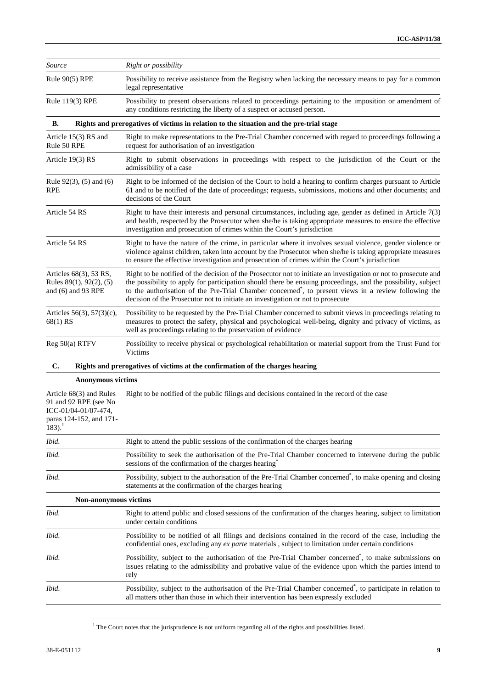| Source                                                                                                                       | Right or possibility                                                                                                                                                                                                                                                                                                                                                                                                                    |  |  |
|------------------------------------------------------------------------------------------------------------------------------|-----------------------------------------------------------------------------------------------------------------------------------------------------------------------------------------------------------------------------------------------------------------------------------------------------------------------------------------------------------------------------------------------------------------------------------------|--|--|
| Rule 90(5) RPE                                                                                                               | Possibility to receive assistance from the Registry when lacking the necessary means to pay for a common<br>legal representative                                                                                                                                                                                                                                                                                                        |  |  |
| Rule 119(3) RPE                                                                                                              | Possibility to present observations related to proceedings pertaining to the imposition or amendment of<br>any conditions restricting the liberty of a suspect or accused person.                                                                                                                                                                                                                                                       |  |  |
| В.                                                                                                                           | Rights and prerogatives of victims in relation to the situation and the pre-trial stage                                                                                                                                                                                                                                                                                                                                                 |  |  |
| Article 15(3) RS and<br>Rule 50 RPE                                                                                          | Right to make representations to the Pre-Trial Chamber concerned with regard to proceedings following a<br>request for authorisation of an investigation                                                                                                                                                                                                                                                                                |  |  |
| Article 19(3) RS                                                                                                             | Right to submit observations in proceedings with respect to the jurisdiction of the Court or the<br>admissibility of a case                                                                                                                                                                                                                                                                                                             |  |  |
| Rule $92(3)$ , $(5)$ and $(6)$<br>RPE                                                                                        | Right to be informed of the decision of the Court to hold a hearing to confirm charges pursuant to Article<br>61 and to be notified of the date of proceedings; requests, submissions, motions and other documents; and<br>decisions of the Court                                                                                                                                                                                       |  |  |
| Article 54 RS                                                                                                                | Right to have their interests and personal circumstances, including age, gender as defined in Article 7(3)<br>and health, respected by the Prosecutor when she/he is taking appropriate measures to ensure the effective<br>investigation and prosecution of crimes within the Court's jurisdiction                                                                                                                                     |  |  |
| Article 54 RS                                                                                                                | Right to have the nature of the crime, in particular where it involves sexual violence, gender violence or<br>violence against children, taken into account by the Prosecutor when she/he is taking appropriate measures<br>to ensure the effective investigation and prosecution of crimes within the Court's jurisdiction                                                                                                             |  |  |
| Articles 68(3), 53 RS,<br>Rules 89(1), 92(2), (5)<br>and (6) and 93 RPE                                                      | Right to be notified of the decision of the Prosecutor not to initiate an investigation or not to prosecute and<br>the possibility to apply for participation should there be ensuing proceedings, and the possibility, subject<br>to the authorisation of the Pre-Trial Chamber concerned <sup>*</sup> , to present views in a review following the<br>decision of the Prosecutor not to initiate an investigation or not to prosecute |  |  |
| Articles 56(3), 57(3)(c),<br>68(1) RS                                                                                        | Possibility to be requested by the Pre-Trial Chamber concerned to submit views in proceedings relating to<br>measures to protect the safety, physical and psychological well-being, dignity and privacy of victims, as<br>well as proceedings relating to the preservation of evidence                                                                                                                                                  |  |  |
| Reg 50(a) RTFV                                                                                                               | Possibility to receive physical or psychological rehabilitation or material support from the Trust Fund for<br>Victims                                                                                                                                                                                                                                                                                                                  |  |  |
| C.                                                                                                                           | Rights and prerogatives of victims at the confirmation of the charges hearing                                                                                                                                                                                                                                                                                                                                                           |  |  |
| <b>Anonymous victims</b>                                                                                                     |                                                                                                                                                                                                                                                                                                                                                                                                                                         |  |  |
| Article 68(3) and Rules<br>91 and 92 RPE (see No<br>ICC-01/04-01/07-474,<br>paras 124-152, and 171-<br>$183$ ). <sup>1</sup> | Right to be notified of the public filings and decisions contained in the record of the case                                                                                                                                                                                                                                                                                                                                            |  |  |
| Ibid.                                                                                                                        | Right to attend the public sessions of the confirmation of the charges hearing                                                                                                                                                                                                                                                                                                                                                          |  |  |
| Ibid.                                                                                                                        | Possibility to seek the authorisation of the Pre-Trial Chamber concerned to intervene during the public<br>sessions of the confirmation of the charges hearing                                                                                                                                                                                                                                                                          |  |  |
| Ibid.                                                                                                                        | Possibility, subject to the authorisation of the Pre-Trial Chamber concerned <sup>*</sup> , to make opening and closing<br>statements at the confirmation of the charges hearing                                                                                                                                                                                                                                                        |  |  |
| Non-anonymous victims                                                                                                        |                                                                                                                                                                                                                                                                                                                                                                                                                                         |  |  |
| Ibid.                                                                                                                        | Right to attend public and closed sessions of the confirmation of the charges hearing, subject to limitation<br>under certain conditions                                                                                                                                                                                                                                                                                                |  |  |
| Ibid.                                                                                                                        | Possibility to be notified of all filings and decisions contained in the record of the case, including the<br>confidential ones, excluding any ex parte materials, subject to limitation under certain conditions                                                                                                                                                                                                                       |  |  |
| Ibid.                                                                                                                        | Possibility, subject to the authorisation of the Pre-Trial Chamber concerned <sup>*</sup> , to make submissions on<br>issues relating to the admissibility and probative value of the evidence upon which the parties intend to<br>rely                                                                                                                                                                                                 |  |  |
| Ibid.                                                                                                                        | Possibility, subject to the authorisation of the Pre-Trial Chamber concerned <sup>*</sup> , to participate in relation to<br>all matters other than those in which their intervention has been expressly excluded                                                                                                                                                                                                                       |  |  |

<sup>&</sup>lt;sup>1</sup> The Court notes that the jurisprudence is not uniform regarding all of the rights and possibilities listed.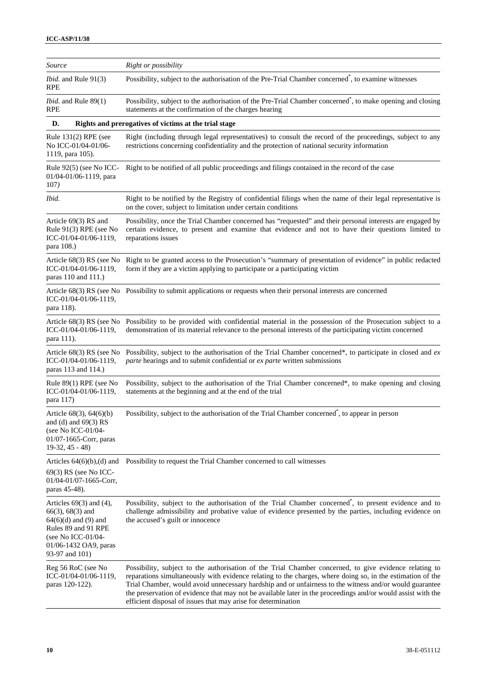| Source                                                                                                                                                                  | Right or possibility                                                                                                                                                                                                                                                                                                                                                                                                                                                                                             |
|-------------------------------------------------------------------------------------------------------------------------------------------------------------------------|------------------------------------------------------------------------------------------------------------------------------------------------------------------------------------------------------------------------------------------------------------------------------------------------------------------------------------------------------------------------------------------------------------------------------------------------------------------------------------------------------------------|
| <i>Ibid.</i> and Rule 91(3)<br><b>RPE</b>                                                                                                                               | Possibility, subject to the authorisation of the Pre-Trial Chamber concerned <sup>*</sup> , to examine witnesses                                                                                                                                                                                                                                                                                                                                                                                                 |
| <i>Ibid.</i> and Rule 89(1)<br><b>RPE</b>                                                                                                                               | Possibility, subject to the authorisation of the Pre-Trial Chamber concerned <sup>*</sup> , to make opening and closing<br>statements at the confirmation of the charges hearing                                                                                                                                                                                                                                                                                                                                 |
| D.                                                                                                                                                                      | Rights and prerogatives of victims at the trial stage                                                                                                                                                                                                                                                                                                                                                                                                                                                            |
| Rule 131(2) RPE (see<br>No ICC-01/04-01/06-<br>1119, para 105).                                                                                                         | Right (including through legal representatives) to consult the record of the proceedings, subject to any<br>restrictions concerning confidentiality and the protection of national security information                                                                                                                                                                                                                                                                                                          |
| Rule 92(5) (see No ICC-<br>01/04-01/06-1119, para<br>107)                                                                                                               | Right to be notified of all public proceedings and filings contained in the record of the case                                                                                                                                                                                                                                                                                                                                                                                                                   |
| Ibid.                                                                                                                                                                   | Right to be notified by the Registry of confidential filings when the name of their legal representative is<br>on the cover, subject to limitation under certain conditions                                                                                                                                                                                                                                                                                                                                      |
| Article 69(3) RS and<br>Rule 91(3) RPE (see No<br>ICC-01/04-01/06-1119,<br>para 108.)                                                                                   | Possibility, once the Trial Chamber concerned has "requested" and their personal interests are engaged by<br>certain evidence, to present and examine that evidence and not to have their questions limited to<br>reparations issues                                                                                                                                                                                                                                                                             |
| Article $68(3)$ RS (see No<br>ICC-01/04-01/06-1119,<br>paras 110 and 111.)                                                                                              | Right to be granted access to the Prosecution's "summary of presentation of evidence" in public redacted<br>form if they are a victim applying to participate or a participating victim                                                                                                                                                                                                                                                                                                                          |
| ICC-01/04-01/06-1119,<br>para 118).                                                                                                                                     | Article 68(3) RS (see No Possibility to submit applications or requests when their personal interests are concerned                                                                                                                                                                                                                                                                                                                                                                                              |
| Article $68(3)$ RS (see No<br>ICC-01/04-01/06-1119,<br>para 111).                                                                                                       | Possibility to be provided with confidential material in the possession of the Prosecution subject to a<br>demonstration of its material relevance to the personal interests of the participating victim concerned                                                                                                                                                                                                                                                                                               |
| Article 68(3) RS (see No<br>ICC-01/04-01/06-1119,<br>paras 113 and 114.)                                                                                                | Possibility, subject to the authorisation of the Trial Chamber concerned*, to participate in closed and $ex$<br><i>parte</i> hearings and to submit confidential or <i>ex parte</i> written submissions                                                                                                                                                                                                                                                                                                          |
| Rule $89(1)$ RPE (see No<br>ICC-01/04-01/06-1119,<br>para 117)                                                                                                          | Possibility, subject to the authorisation of the Trial Chamber concerned*, to make opening and closing<br>statements at the beginning and at the end of the trial                                                                                                                                                                                                                                                                                                                                                |
| Article $68(3)$ , $64(6)(b)$<br>and (d) and $69(3)$ RS<br>(see No ICC-01/04-<br>01/07-1665-Corr, paras<br>$19-32, 45-48$                                                | Possibility, subject to the authorisation of the Trial Chamber concerned <sup>*</sup> , to appear in person                                                                                                                                                                                                                                                                                                                                                                                                      |
| Articles $64(6)(b)$ , (d) and<br>69(3) RS (see No ICC-<br>$01/04 - 01/07 - 1665$ -Corr,<br>paras 45-48).                                                                | Possibility to request the Trial Chamber concerned to call witnesses                                                                                                                                                                                                                                                                                                                                                                                                                                             |
| Articles $69(3)$ and $(4)$ ,<br>$66(3)$ , $68(3)$ and<br>$64(6)(d)$ and (9) and<br>Rules 89 and 91 RPE<br>(see No ICC-01/04-<br>01/06-1432 OA9, paras<br>93-97 and 101) | Possibility, subject to the authorisation of the Trial Chamber concerned <sup>*</sup> , to present evidence and to<br>challenge admissibility and probative value of evidence presented by the parties, including evidence on<br>the accused's guilt or innocence                                                                                                                                                                                                                                                |
| Reg 56 RoC (see No<br>ICC-01/04-01/06-1119,<br>paras 120-122).                                                                                                          | Possibility, subject to the authorisation of the Trial Chamber concerned, to give evidence relating to<br>reparations simultaneously with evidence relating to the charges, where doing so, in the estimation of the<br>Trial Chamber, would avoid unnecessary hardship and or unfairness to the witness and/or would guarantee<br>the preservation of evidence that may not be available later in the proceedings and/or would assist with the<br>efficient disposal of issues that may arise for determination |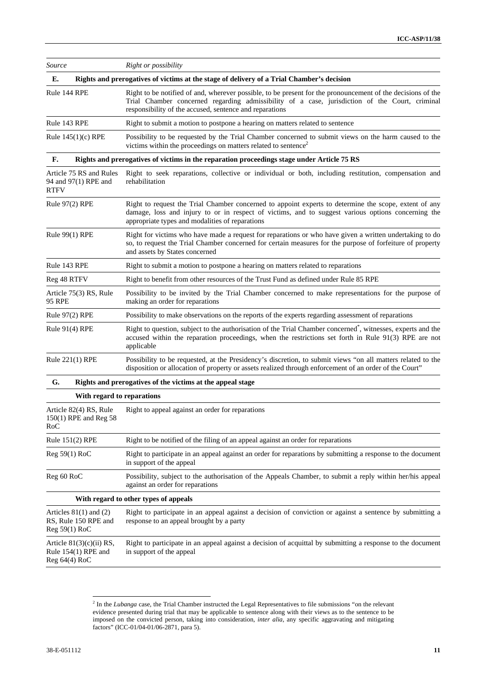| Source                                                                           | Right or possibility                                       |                                                                                                                                                                                                                                                                          |
|----------------------------------------------------------------------------------|------------------------------------------------------------|--------------------------------------------------------------------------------------------------------------------------------------------------------------------------------------------------------------------------------------------------------------------------|
| Е.                                                                               |                                                            | Rights and prerogatives of victims at the stage of delivery of a Trial Chamber's decision                                                                                                                                                                                |
| Rule 144 RPE                                                                     |                                                            | Right to be notified of and, wherever possible, to be present for the pronouncement of the decisions of the<br>Trial Chamber concerned regarding admissibility of a case, jurisdiction of the Court, criminal<br>responsibility of the accused, sentence and reparations |
| Rule 143 RPE                                                                     |                                                            | Right to submit a motion to postpone a hearing on matters related to sentence                                                                                                                                                                                            |
| Rule $145(1)(c)$ RPE                                                             |                                                            | Possibility to be requested by the Trial Chamber concerned to submit views on the harm caused to the<br>victims within the proceedings on matters related to sentence <sup>2</sup>                                                                                       |
| F.                                                                               |                                                            | Rights and prerogatives of victims in the reparation proceedings stage under Article 75 RS                                                                                                                                                                               |
| Article 75 RS and Rules<br>94 and 97(1) RPE and<br>rehabilitation<br><b>RTFV</b> |                                                            | Right to seek reparations, collective or individual or both, including restitution, compensation and                                                                                                                                                                     |
| Rule 97(2) RPE<br>appropriate types and modalities of reparations                |                                                            | Right to request the Trial Chamber concerned to appoint experts to determine the scope, extent of any<br>damage, loss and injury to or in respect of victims, and to suggest various options concerning the                                                              |
| Rule 99(1) RPE<br>and assets by States concerned                                 |                                                            | Right for victims who have made a request for reparations or who have given a written undertaking to do<br>so, to request the Trial Chamber concerned for certain measures for the purpose of forfeiture of property                                                     |
| Rule 143 RPE                                                                     |                                                            | Right to submit a motion to postpone a hearing on matters related to reparations                                                                                                                                                                                         |
| Reg 48 RTFV                                                                      |                                                            | Right to benefit from other resources of the Trust Fund as defined under Rule 85 RPE                                                                                                                                                                                     |
| Article 75(3) RS, Rule<br>95 RPE                                                 | making an order for reparations                            | Possibility to be invited by the Trial Chamber concerned to make representations for the purpose of                                                                                                                                                                      |
| Rule $97(2)$ RPE                                                                 |                                                            | Possibility to make observations on the reports of the experts regarding assessment of reparations                                                                                                                                                                       |
| Rule $91(4)$ RPE<br>applicable                                                   |                                                            | Right to question, subject to the authorisation of the Trial Chamber concerned <sup>*</sup> , witnesses, experts and the<br>accused within the reparation proceedings, when the restrictions set forth in Rule 91(3) RPE are not                                         |
| Rule 221(1) RPE                                                                  |                                                            | Possibility to be requested, at the Presidency's discretion, to submit views "on all matters related to the<br>disposition or allocation of property or assets realized through enforcement of an order of the Court"                                                    |
| G.                                                                               | Rights and prerogatives of the victims at the appeal stage |                                                                                                                                                                                                                                                                          |
|                                                                                  | With regard to reparations                                 |                                                                                                                                                                                                                                                                          |
| Article 82(4) RS, Rule<br>150(1) RPE and Reg 58<br>RoC                           | Right to appeal against an order for reparations           |                                                                                                                                                                                                                                                                          |
| Rule 151(2) RPE                                                                  |                                                            | Right to be notified of the filing of an appeal against an order for reparations                                                                                                                                                                                         |
| Reg 59(1) RoC                                                                    | in support of the appeal                                   | Right to participate in an appeal against an order for reparations by submitting a response to the document                                                                                                                                                              |
| Reg 60 RoC                                                                       | against an order for reparations                           | Possibility, subject to the authorisation of the Appeals Chamber, to submit a reply within her/his appeal                                                                                                                                                                |
|                                                                                  | With regard to other types of appeals                      |                                                                                                                                                                                                                                                                          |
| Articles $81(1)$ and $(2)$<br>RS, Rule 150 RPE and<br>Reg 59(1) RoC              | response to an appeal brought by a party                   | Right to participate in an appeal against a decision of conviction or against a sentence by submitting a                                                                                                                                                                 |
| Article $81(3)(c)(ii) RS$ ,<br>Rule 154(1) RPE and<br>$Reg 64(4)$ RoC            | in support of the appeal                                   | Right to participate in an appeal against a decision of acquittal by submitting a response to the document                                                                                                                                                               |

<sup>&</sup>lt;sup>2</sup> In the *Lubanga* case, the Trial Chamber instructed the Legal Representatives to file submissions "on the relevant evidence presented during trial that may be applicable to sentence along with their views as to the sentence to be imposed on the convicted person, taking into consideration, *inter alia*, any specific aggravating and mitigating factors" (ICC-01/04-01/06-2871, para 5).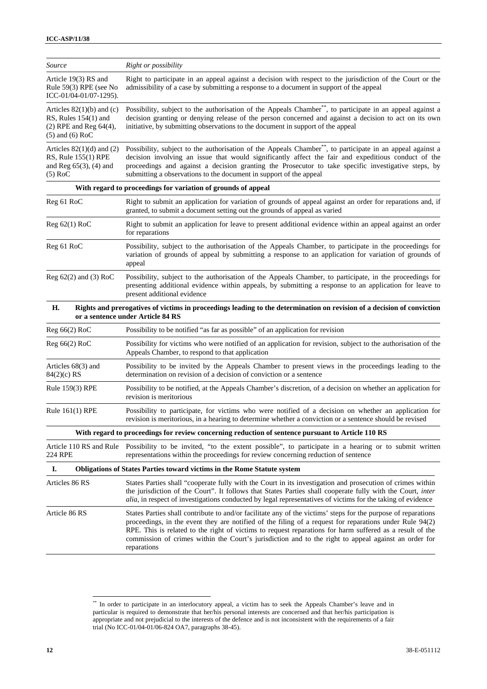| Source                                                                                                      | Right or possibility                                                                                                                                                                                                                                                                                                                                                                                                                                        |
|-------------------------------------------------------------------------------------------------------------|-------------------------------------------------------------------------------------------------------------------------------------------------------------------------------------------------------------------------------------------------------------------------------------------------------------------------------------------------------------------------------------------------------------------------------------------------------------|
| Article 19(3) RS and<br>Rule 59(3) RPE (see No<br>ICC-01/04-01/07-1295).                                    | Right to participate in an appeal against a decision with respect to the jurisdiction of the Court or the<br>admissibility of a case by submitting a response to a document in support of the appeal                                                                                                                                                                                                                                                        |
| Articles $82(1)(b)$ and (c)<br>RS, Rules $154(1)$ and<br>$(2)$ RPE and Reg $64(4)$ ,<br>$(5)$ and $(6)$ RoC | Possibility, subject to the authorisation of the Appeals Chamber**, to participate in an appeal against a<br>decision granting or denying release of the person concerned and against a decision to act on its own<br>initiative, by submitting observations to the document in support of the appeal                                                                                                                                                       |
| Articles $82(1)(d)$ and $(2)$<br>RS, Rule 155(1) RPE<br>and Reg $65(3)$ , $(4)$ and<br>$(5)$ RoC            | Possibility, subject to the authorisation of the Appeals Chamber <sup>**</sup> , to participate in an appeal against a<br>decision involving an issue that would significantly affect the fair and expeditious conduct of the<br>proceedings and against a decision granting the Prosecutor to take specific investigative steps, by<br>submitting a observations to the document in support of the appeal                                                  |
|                                                                                                             | With regard to proceedings for variation of grounds of appeal                                                                                                                                                                                                                                                                                                                                                                                               |
| Reg 61 RoC                                                                                                  | Right to submit an application for variation of grounds of appeal against an order for reparations and, if<br>granted, to submit a document setting out the grounds of appeal as varied                                                                                                                                                                                                                                                                     |
| $Reg 62(1)$ RoC                                                                                             | Right to submit an application for leave to present additional evidence within an appeal against an order<br>for reparations                                                                                                                                                                                                                                                                                                                                |
| Reg 61 RoC                                                                                                  | Possibility, subject to the authorisation of the Appeals Chamber, to participate in the proceedings for<br>variation of grounds of appeal by submitting a response to an application for variation of grounds of<br>appeal                                                                                                                                                                                                                                  |
| Reg 62(2) and (3) RoC                                                                                       | Possibility, subject to the authorisation of the Appeals Chamber, to participate, in the proceedings for<br>presenting additional evidence within appeals, by submitting a response to an application for leave to<br>present additional evidence                                                                                                                                                                                                           |
| Н.                                                                                                          | Rights and prerogatives of victims in proceedings leading to the determination on revision of a decision of conviction<br>or a sentence under Article 84 RS                                                                                                                                                                                                                                                                                                 |
| $Reg 66(2)$ RoC                                                                                             | Possibility to be notified "as far as possible" of an application for revision                                                                                                                                                                                                                                                                                                                                                                              |
| Reg 66(2) RoC                                                                                               | Possibility for victims who were notified of an application for revision, subject to the authorisation of the<br>Appeals Chamber, to respond to that application                                                                                                                                                                                                                                                                                            |
| Articles $68(3)$ and<br>$84(2)$ (c) RS                                                                      | Possibility to be invited by the Appeals Chamber to present views in the proceedings leading to the<br>determination on revision of a decision of conviction or a sentence                                                                                                                                                                                                                                                                                  |
| Rule 159(3) RPE                                                                                             | Possibility to be notified, at the Appeals Chamber's discretion, of a decision on whether an application for<br>revision is meritorious                                                                                                                                                                                                                                                                                                                     |
| Rule $161(1)$ RPE                                                                                           | Possibility to participate, for victims who were notified of a decision on whether an application for<br>revision is meritorious, in a hearing to determine whether a conviction or a sentence should be revised                                                                                                                                                                                                                                            |
|                                                                                                             | With regard to proceedings for review concerning reduction of sentence pursuant to Article 110 RS                                                                                                                                                                                                                                                                                                                                                           |
| 224 RPE                                                                                                     | Article 110 RS and Rule Possibility to be invited, "to the extent possible", to participate in a hearing or to submit written<br>representations within the proceedings for review concerning reduction of sentence                                                                                                                                                                                                                                         |
| Ι.                                                                                                          | <b>Obligations of States Parties toward victims in the Rome Statute system</b>                                                                                                                                                                                                                                                                                                                                                                              |
| Articles 86 RS                                                                                              | States Parties shall "cooperate fully with the Court in its investigation and prosecution of crimes within<br>the jurisdiction of the Court". It follows that States Parties shall cooperate fully with the Court, inter<br>alia, in respect of investigations conducted by legal representatives of victims for the taking of evidence                                                                                                                     |
| Article 86 RS                                                                                               | States Parties shall contribute to and/or facilitate any of the victims' steps for the purpose of reparations<br>proceedings, in the event they are notified of the filing of a request for reparations under Rule 94(2)<br>RPE. This is related to the right of victims to request reparations for harm suffered as a result of the<br>commission of crimes within the Court's jurisdiction and to the right to appeal against an order for<br>reparations |

<sup>\*\*</sup> In order to participate in an interlocutory appeal, a victim has to seek the Appeals Chamber's leave and in particular is required to demonstrate that her/his personal interests are concerned and that her/his participation is appropriate and not prejudicial to the interests of the defence and is not inconsistent with the requirements of a fair trial (No ICC-01/04-01/06-824 OA7, paragraphs 38-45).